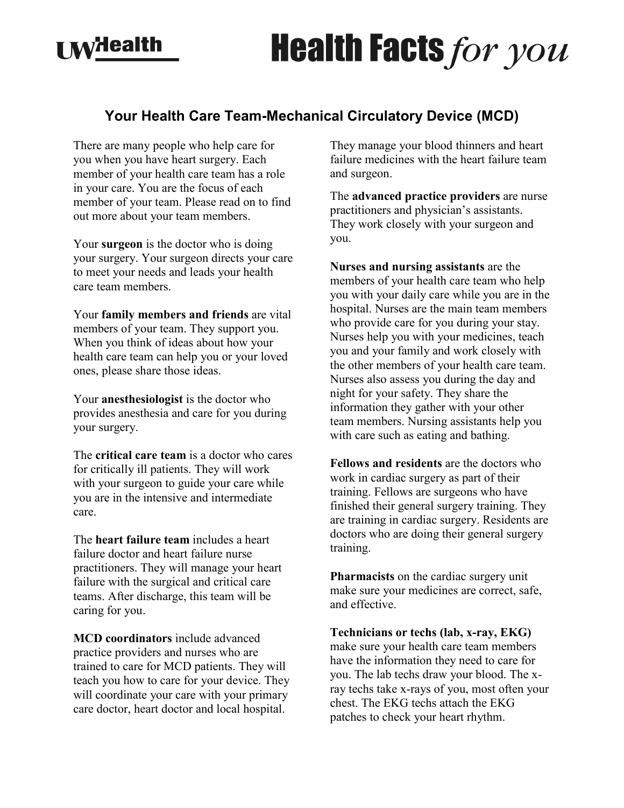## **I MyHealth**

## **Health Facts for you**

## **Your Health Care Team-Mechanical Circulatory Device (MCD)**

There are many people who help care for you when you have heart surgery. Each member of your health care team has a role in your care. You are the focus of each member of your team. Please read on to find out more about your team members.

Your **surgeon** is the doctor who is doing your surgery. Your surgeon directs your care to meet your needs and leads your health care team members.

Your **family members and friends** are vital members of your team. They support you. When you think of ideas about how your health care team can help you or your loved ones, please share those ideas.

Your **anesthesiologist** is the doctor who provides anesthesia and care for you during your surgery.

The **critical care team** is a doctor who cares for critically ill patients. They will work with your surgeon to guide your care while you are in the intensive and intermediate care.

The **heart failure team** includes a heart failure doctor and heart failure nurse practitioners. They will manage your heart failure with the surgical and critical care teams. After discharge, this team will be caring for you.

**MCD coordinators** include advanced practice providers and nurses who are trained to care for MCD patients. They will teach you how to care for your device. They will coordinate your care with your primary care doctor, heart doctor and local hospital.

They manage your blood thinners and heart failure medicines with the heart failure team and surgeon.

The **advanced practice providers** are nurse practitioners and physician's assistants. They work closely with your surgeon and you.

**Nurses and nursing assistants** are the members of your health care team who help you with your daily care while you are in the hospital. Nurses are the main team members who provide care for you during your stay. Nurses help you with your medicines, teach you and your family and work closely with the other members of your health care team. Nurses also assess you during the day and night for your safety. They share the information they gather with your other team members. Nursing assistants help you with care such as eating and bathing.

**Fellows and residents** are the doctors who work in cardiac surgery as part of their training. Fellows are surgeons who have finished their general surgery training. They are training in cardiac surgery. Residents are doctors who are doing their general surgery training.

**Pharmacists** on the cardiac surgery unit make sure your medicines are correct, safe, and effective.

**Technicians or techs (lab, x-ray, EKG)** make sure your health care team members have the information they need to care for you. The lab techs draw your blood. The xray techs take x-rays of you, most often your chest. The EKG techs attach the EKG patches to check your heart rhythm.